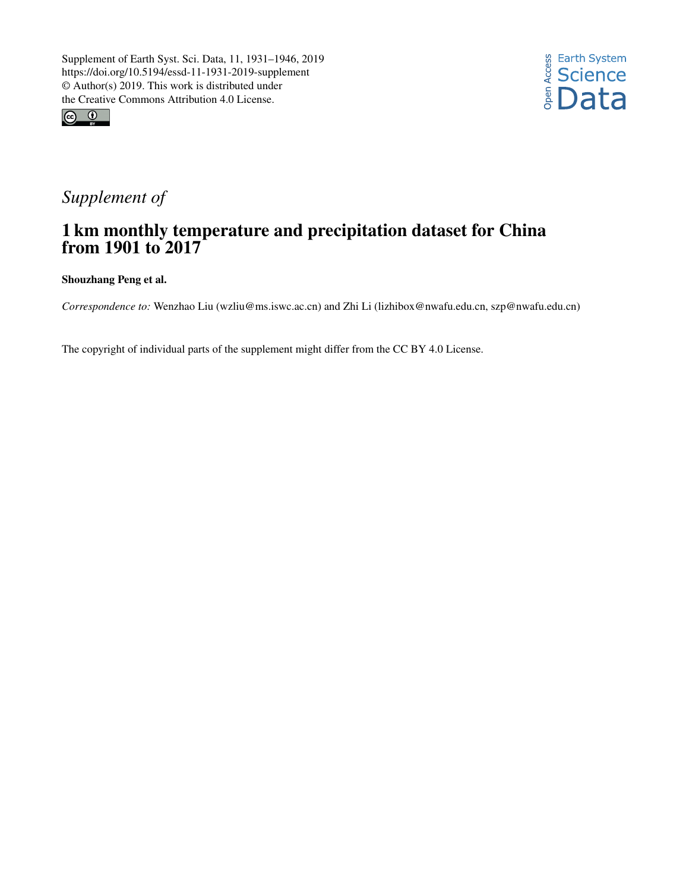



## *Supplement of*

## 1 km monthly temperature and precipitation dataset for China from 1901 to 2017

Shouzhang Peng et al.

*Correspondence to:* Wenzhao Liu (wzliu@ms.iswc.ac.cn) and Zhi Li (lizhibox@nwafu.edu.cn, szp@nwafu.edu.cn)

The copyright of individual parts of the supplement might differ from the CC BY 4.0 License.